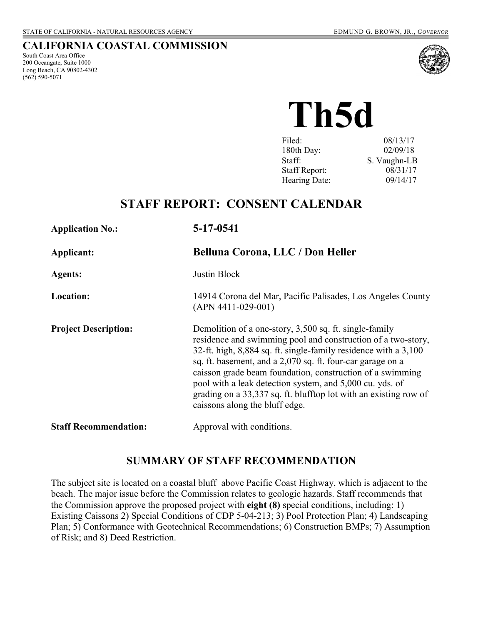#### **CALIFORNIA COASTAL COMMISSION**

South Coast Area Office 200 Oceangate, Suite 1000 Long Beach, CA 90802-4302 (562) 590-5071



**Th5d** 

| Filed:               | 08/13/17     |
|----------------------|--------------|
| 180th Day:           | 02/09/18     |
| Staff:               | S. Vaughn-LB |
| <b>Staff Report:</b> | 08/31/17     |
| Hearing Date:        | 09/14/17     |
|                      |              |

# **STAFF REPORT: CONSENT CALENDAR**

| <b>Application No.:</b>      | 5-17-0541                                                                                                                                                                                                                                                                                                                                                                                                                                                                              |
|------------------------------|----------------------------------------------------------------------------------------------------------------------------------------------------------------------------------------------------------------------------------------------------------------------------------------------------------------------------------------------------------------------------------------------------------------------------------------------------------------------------------------|
| Applicant:                   | Belluna Corona, LLC / Don Heller                                                                                                                                                                                                                                                                                                                                                                                                                                                       |
| <b>Agents:</b>               | Justin Block                                                                                                                                                                                                                                                                                                                                                                                                                                                                           |
| <b>Location:</b>             | 14914 Corona del Mar, Pacific Palisades, Los Angeles County<br>$(APN 4411-029-001)$                                                                                                                                                                                                                                                                                                                                                                                                    |
| <b>Project Description:</b>  | Demolition of a one-story, 3,500 sq. ft. single-family<br>residence and swimming pool and construction of a two-story,<br>32-ft. high, 8,884 sq. ft. single-family residence with a 3,100<br>sq. ft. basement, and a 2,070 sq. ft. four-car garage on a<br>caisson grade beam foundation, construction of a swimming<br>pool with a leak detection system, and 5,000 cu. yds. of<br>grading on a 33,337 sq. ft. blufftop lot with an existing row of<br>caissons along the bluff edge. |
| <b>Staff Recommendation:</b> | Approval with conditions.                                                                                                                                                                                                                                                                                                                                                                                                                                                              |

### **SUMMARY OF STAFF RECOMMENDATION**

The subject site is located on a coastal bluff above Pacific Coast Highway, which is adjacent to the beach. The major issue before the Commission relates to geologic hazards. Staff recommends that the Commission approve the proposed project with **eight (8)** special conditions, including: 1) Existing Caissons 2) Special Conditions of CDP 5-04-213; 3) Pool Protection Plan; 4) Landscaping Plan; 5) Conformance with Geotechnical Recommendations; 6) Construction BMPs; 7) Assumption of Risk; and 8) Deed Restriction.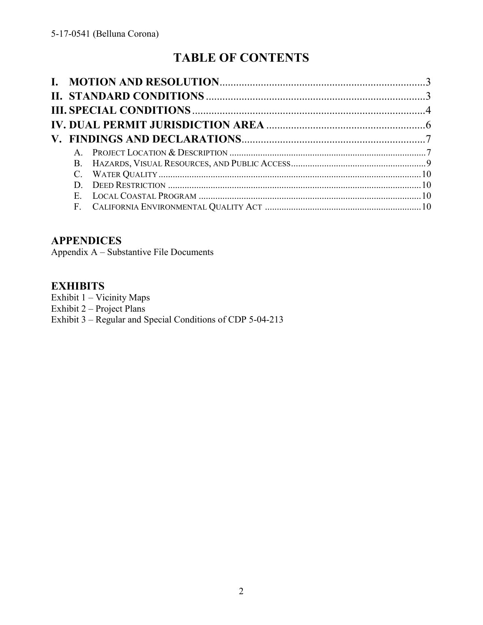# **TABLE OF CONTENTS**

| D.          |  |
|-------------|--|
| $E_{\rm c}$ |  |
|             |  |

### **APPENDICES**

Appendix A – Substantive File Documents

### **EXHIBITS**

Exhibit 1 – Vicinity Maps Exhibit 2 – Project Plans Exhibit 3 – Regular and Special Conditions of CDP 5-04-213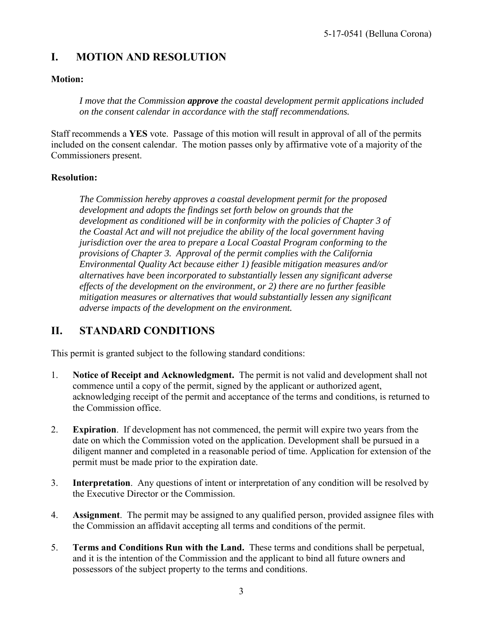# **I. MOTION AND RESOLUTION**

### **Motion:**

*I move that the Commission approve the coastal development permit applications included on the consent calendar in accordance with the staff recommendations.*

Staff recommends a **YES** vote. Passage of this motion will result in approval of all of the permits included on the consent calendar. The motion passes only by affirmative vote of a majority of the Commissioners present.

#### **Resolution:**

*The Commission hereby approves a coastal development permit for the proposed development and adopts the findings set forth below on grounds that the development as conditioned will be in conformity with the policies of Chapter 3 of the Coastal Act and will not prejudice the ability of the local government having jurisdiction over the area to prepare a Local Coastal Program conforming to the provisions of Chapter 3. Approval of the permit complies with the California Environmental Quality Act because either 1) feasible mitigation measures and/or alternatives have been incorporated to substantially lessen any significant adverse effects of the development on the environment, or 2) there are no further feasible mitigation measures or alternatives that would substantially lessen any significant adverse impacts of the development on the environment.* 

### **II. STANDARD CONDITIONS**

This permit is granted subject to the following standard conditions:

- 1. **Notice of Receipt and Acknowledgment.** The permit is not valid and development shall not commence until a copy of the permit, signed by the applicant or authorized agent, acknowledging receipt of the permit and acceptance of the terms and conditions, is returned to the Commission office.
- 2. **Expiration**. If development has not commenced, the permit will expire two years from the date on which the Commission voted on the application. Development shall be pursued in a diligent manner and completed in a reasonable period of time. Application for extension of the permit must be made prior to the expiration date.
- 3. **Interpretation**. Any questions of intent or interpretation of any condition will be resolved by the Executive Director or the Commission.
- 4. **Assignment**. The permit may be assigned to any qualified person, provided assignee files with the Commission an affidavit accepting all terms and conditions of the permit.
- 5. **Terms and Conditions Run with the Land.** These terms and conditions shall be perpetual, and it is the intention of the Commission and the applicant to bind all future owners and possessors of the subject property to the terms and conditions.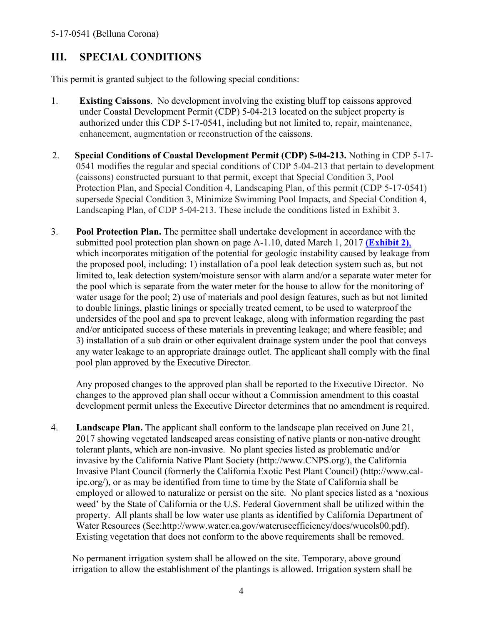### **III. SPECIAL CONDITIONS**

This permit is granted subject to the following special conditions:

- 1. **Existing Caissons**. No development involving the existing bluff top caissons approved under Coastal Development Permit (CDP) 5-04-213 located on the subject property is authorized under this CDP 5-17-0541, including but not limited to, repair, maintenance, enhancement, augmentation or reconstruction of the caissons.
- 2. **Special Conditions of Coastal Development Permit (CDP) 5-04-213.** Nothing in CDP 5-17- 0541 modifies the regular and special conditions of CDP 5-04-213 that pertain to development (caissons) constructed pursuant to that permit, except that Special Condition 3, Pool Protection Plan, and Special Condition 4, Landscaping Plan, of this permit (CDP 5-17-0541) supersede Special Condition 3, Minimize Swimming Pool Impacts, and Special Condition 4, Landscaping Plan, of CDP 5-04-213. These include the conditions listed in Exhibit 3.
- 3. **Pool Protection Plan.** The permittee shall undertake development in accordance with the submitted pool protection plan shown on page A-1.10, dated March 1, 2017 **[\(Exhibit 2\)](https://documents.coastal.ca.gov/reports/2017/9/Th5d/Th5d-9-2017-exhibits.pdf)**, which incorporates mitigation of the potential for geologic instability caused by leakage from the proposed pool, including: 1) installation of a pool leak detection system such as, but not limited to, leak detection system/moisture sensor with alarm and/or a separate water meter for the pool which is separate from the water meter for the house to allow for the monitoring of water usage for the pool; 2) use of materials and pool design features, such as but not limited to double linings, plastic linings or specially treated cement, to be used to waterproof the undersides of the pool and spa to prevent leakage, along with information regarding the past and/or anticipated success of these materials in preventing leakage; and where feasible; and 3) installation of a sub drain or other equivalent drainage system under the pool that conveys any water leakage to an appropriate drainage outlet. The applicant shall comply with the final pool plan approved by the Executive Director.

Any proposed changes to the approved plan shall be reported to the Executive Director. No changes to the approved plan shall occur without a Commission amendment to this coastal development permit unless the Executive Director determines that no amendment is required.

4. **Landscape Plan.** The applicant shall conform to the landscape plan received on June 21, 2017 showing vegetated landscaped areas consisting of native plants or non-native drought tolerant plants, which are non-invasive. No plant species listed as problematic and/or invasive by the California Native Plant Society (http://www.CNPS.org/), the California Invasive Plant Council (formerly the California Exotic Pest Plant Council) (http://www.calipc.org/), or as may be identified from time to time by the State of California shall be employed or allowed to naturalize or persist on the site. No plant species listed as a 'noxious weed' by the State of California or the U.S. Federal Government shall be utilized within the property. All plants shall be low water use plants as identified by California Department of Water Resources (See:http://www.water.ca.gov/wateruseefficiency/docs/wucols00.pdf). Existing vegetation that does not conform to the above requirements shall be removed.

No permanent irrigation system shall be allowed on the site. Temporary, above ground irrigation to allow the establishment of the plantings is allowed. Irrigation system shall be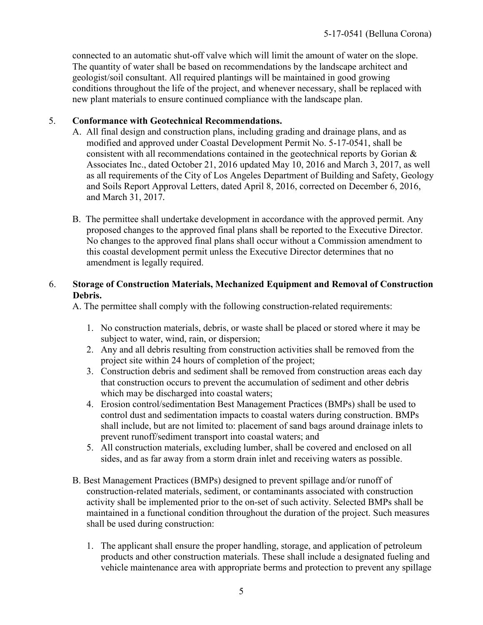connected to an automatic shut-off valve which will limit the amount of water on the slope. The quantity of water shall be based on recommendations by the landscape architect and geologist/soil consultant. All required plantings will be maintained in good growing conditions throughout the life of the project, and whenever necessary, shall be replaced with new plant materials to ensure continued compliance with the landscape plan.

#### 5. **Conformance with Geotechnical Recommendations.**

- A. All final design and construction plans, including grading and drainage plans, and as modified and approved under Coastal Development Permit No. 5-17-0541, shall be consistent with all recommendations contained in the geotechnical reports by Gorian & Associates Inc., dated October 21, 2016 updated May 10, 2016 and March 3, 2017, as well as all requirements of the City of Los Angeles Department of Building and Safety, Geology and Soils Report Approval Letters, dated April 8, 2016, corrected on December 6, 2016, and March 31, 2017*.*
- B. The permittee shall undertake development in accordance with the approved permit. Any proposed changes to the approved final plans shall be reported to the Executive Director. No changes to the approved final plans shall occur without a Commission amendment to this coastal development permit unless the Executive Director determines that no amendment is legally required.

#### 6. **Storage of Construction Materials, Mechanized Equipment and Removal of Construction Debris.**

A. The permittee shall comply with the following construction-related requirements:

- 1. No construction materials, debris, or waste shall be placed or stored where it may be subject to water, wind, rain, or dispersion;
- 2. Any and all debris resulting from construction activities shall be removed from the project site within 24 hours of completion of the project;
- 3. Construction debris and sediment shall be removed from construction areas each day that construction occurs to prevent the accumulation of sediment and other debris which may be discharged into coastal waters;
- 4. Erosion control/sedimentation Best Management Practices (BMPs) shall be used to control dust and sedimentation impacts to coastal waters during construction. BMPs shall include, but are not limited to: placement of sand bags around drainage inlets to prevent runoff/sediment transport into coastal waters; and
- 5. All construction materials, excluding lumber, shall be covered and enclosed on all sides, and as far away from a storm drain inlet and receiving waters as possible.
- B. Best Management Practices (BMPs) designed to prevent spillage and/or runoff of construction-related materials, sediment, or contaminants associated with construction activity shall be implemented prior to the on-set of such activity. Selected BMPs shall be maintained in a functional condition throughout the duration of the project. Such measures shall be used during construction:
	- 1. The applicant shall ensure the proper handling, storage, and application of petroleum products and other construction materials. These shall include a designated fueling and vehicle maintenance area with appropriate berms and protection to prevent any spillage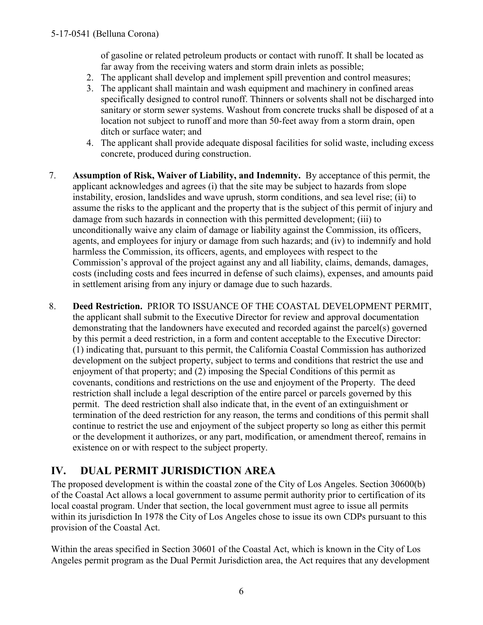of gasoline or related petroleum products or contact with runoff. It shall be located as far away from the receiving waters and storm drain inlets as possible;

- 2. The applicant shall develop and implement spill prevention and control measures;
- 3. The applicant shall maintain and wash equipment and machinery in confined areas specifically designed to control runoff. Thinners or solvents shall not be discharged into sanitary or storm sewer systems. Washout from concrete trucks shall be disposed of at a location not subject to runoff and more than 50-feet away from a storm drain, open ditch or surface water; and
- 4. The applicant shall provide adequate disposal facilities for solid waste, including excess concrete, produced during construction.
- 7. **Assumption of Risk, Waiver of Liability, and Indemnity.** By acceptance of this permit, the applicant acknowledges and agrees (i) that the site may be subject to hazards from slope instability, erosion, landslides and wave uprush, storm conditions, and sea level rise; (ii) to assume the risks to the applicant and the property that is the subject of this permit of injury and damage from such hazards in connection with this permitted development; (iii) to unconditionally waive any claim of damage or liability against the Commission, its officers, agents, and employees for injury or damage from such hazards; and (iv) to indemnify and hold harmless the Commission, its officers, agents, and employees with respect to the Commission's approval of the project against any and all liability, claims, demands, damages, costs (including costs and fees incurred in defense of such claims), expenses, and amounts paid in settlement arising from any injury or damage due to such hazards.
- 8. **Deed Restriction.** PRIOR TO ISSUANCE OF THE COASTAL DEVELOPMENT PERMIT, the applicant shall submit to the Executive Director for review and approval documentation demonstrating that the landowners have executed and recorded against the parcel(s) governed by this permit a deed restriction, in a form and content acceptable to the Executive Director: (1) indicating that, pursuant to this permit, the California Coastal Commission has authorized development on the subject property, subject to terms and conditions that restrict the use and enjoyment of that property; and (2) imposing the Special Conditions of this permit as covenants, conditions and restrictions on the use and enjoyment of the Property. The deed restriction shall include a legal description of the entire parcel or parcels governed by this permit. The deed restriction shall also indicate that, in the event of an extinguishment or termination of the deed restriction for any reason, the terms and conditions of this permit shall continue to restrict the use and enjoyment of the subject property so long as either this permit or the development it authorizes, or any part, modification, or amendment thereof, remains in existence on or with respect to the subject property.

## **IV. DUAL PERMIT JURISDICTION AREA**

The proposed development is within the coastal zone of the City of Los Angeles. Section 30600(b) of the Coastal Act allows a local government to assume permit authority prior to certification of its local coastal program. Under that section, the local government must agree to issue all permits within its jurisdiction In 1978 the City of Los Angeles chose to issue its own CDPs pursuant to this provision of the Coastal Act.

Within the areas specified in Section 30601 of the Coastal Act, which is known in the City of Los Angeles permit program as the Dual Permit Jurisdiction area, the Act requires that any development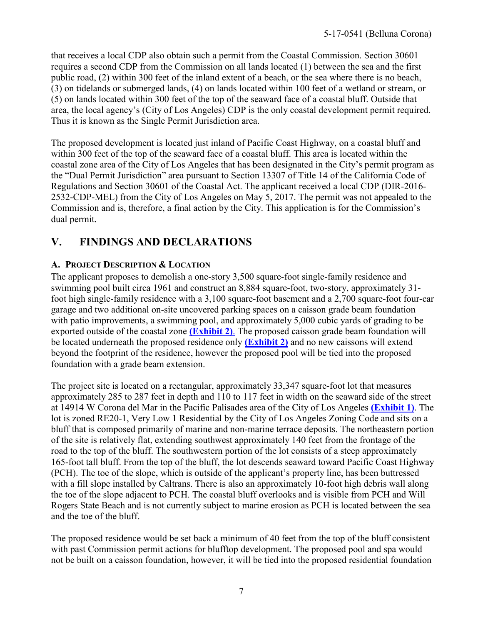that receives a local CDP also obtain such a permit from the Coastal Commission. Section 30601 requires a second CDP from the Commission on all lands located (1) between the sea and the first public road, (2) within 300 feet of the inland extent of a beach, or the sea where there is no beach, (3) on tidelands or submerged lands, (4) on lands located within 100 feet of a wetland or stream, or (5) on lands located within 300 feet of the top of the seaward face of a coastal bluff. Outside that area, the local agency's (City of Los Angeles) CDP is the only coastal development permit required. Thus it is known as the Single Permit Jurisdiction area.

The proposed development is located just inland of Pacific Coast Highway, on a coastal bluff and within 300 feet of the top of the seaward face of a coastal bluff. This area is located within the coastal zone area of the City of Los Angeles that has been designated in the City's permit program as the "Dual Permit Jurisdiction" area pursuant to Section 13307 of Title 14 of the California Code of Regulations and Section 30601 of the Coastal Act. The applicant received a local CDP (DIR-2016- 2532-CDP-MEL) from the City of Los Angeles on May 5, 2017. The permit was not appealed to the Commission and is, therefore, a final action by the City. This application is for the Commission's dual permit.

# **V. FINDINGS AND DECLARATIONS**

### **A. PROJECT DESCRIPTION & LOCATION**

The applicant proposes to demolish a one-story 3,500 square-foot single-family residence and swimming pool built circa 1961 and construct an 8,884 square-foot, two-story, approximately 31 foot high single-family residence with a 3,100 square-foot basement and a 2,700 square-foot four-car garage and two additional on-site uncovered parking spaces on a caisson grade beam foundation with patio improvements, a swimming pool, and approximately 5,000 cubic yards of grading to be exported outside of the coastal zone **[\(Exhibit 2\)](https://documents.coastal.ca.gov/reports/2017/9/Th5d/Th5d-9-2017-exhibits.pdf)**. The proposed caisson grade beam foundation will be located underneath the proposed residence only **[\(Exhibit 2\)](https://documents.coastal.ca.gov/reports/2017/9/Th5d/Th5d-9-2017-exhibits.pdf)** and no new caissons will extend beyond the footprint of the residence, however the proposed pool will be tied into the proposed foundation with a grade beam extension.

The project site is located on a rectangular, approximately 33,347 square-foot lot that measures approximately 285 to 287 feet in depth and 110 to 117 feet in width on the seaward side of the street at 14914 W Corona del Mar in the Pacific Palisades area of the City of Los Angeles **[\(Exhibit 1\)](https://documents.coastal.ca.gov/reports/2017/9/Th5d/Th5d-9-2017-exhibits.pdf)**. The lot is zoned RE20-1, Very Low 1 Residential by the City of Los Angeles Zoning Code and sits on a bluff that is composed primarily of marine and non-marine terrace deposits. The northeastern portion of the site is relatively flat, extending southwest approximately 140 feet from the frontage of the road to the top of the bluff. The southwestern portion of the lot consists of a steep approximately 165-foot tall bluff. From the top of the bluff, the lot descends seaward toward Pacific Coast Highway (PCH). The toe of the slope, which is outside of the applicant's property line, has been buttressed with a fill slope installed by Caltrans. There is also an approximately 10-foot high debris wall along the toe of the slope adjacent to PCH. The coastal bluff overlooks and is visible from PCH and Will Rogers State Beach and is not currently subject to marine erosion as PCH is located between the sea and the toe of the bluff.

The proposed residence would be set back a minimum of 40 feet from the top of the bluff consistent with past Commission permit actions for blufftop development. The proposed pool and spa would not be built on a caisson foundation, however, it will be tied into the proposed residential foundation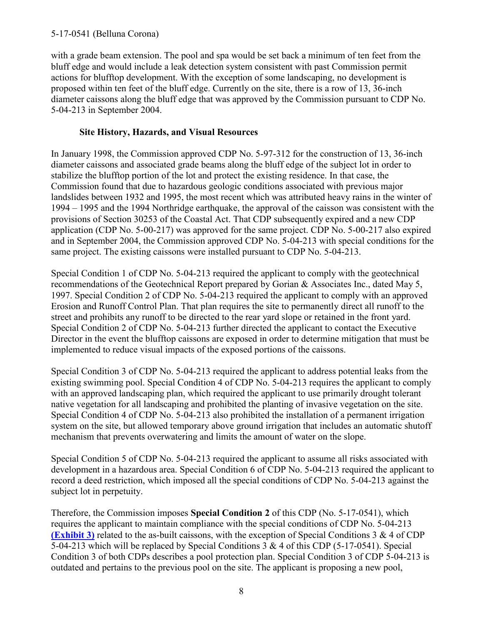with a grade beam extension. The pool and spa would be set back a minimum of ten feet from the bluff edge and would include a leak detection system consistent with past Commission permit actions for blufftop development. With the exception of some landscaping, no development is proposed within ten feet of the bluff edge. Currently on the site, there is a row of 13, 36-inch diameter caissons along the bluff edge that was approved by the Commission pursuant to CDP No. 5-04-213 in September 2004.

### **Site History, Hazards, and Visual Resources**

In January 1998, the Commission approved CDP No. 5-97-312 for the construction of 13, 36-inch diameter caissons and associated grade beams along the bluff edge of the subject lot in order to stabilize the blufftop portion of the lot and protect the existing residence. In that case, the Commission found that due to hazardous geologic conditions associated with previous major landslides between 1932 and 1995, the most recent which was attributed heavy rains in the winter of 1994 – 1995 and the 1994 Northridge earthquake, the approval of the caisson was consistent with the provisions of Section 30253 of the Coastal Act. That CDP subsequently expired and a new CDP application (CDP No. 5-00-217) was approved for the same project. CDP No. 5-00-217 also expired and in September 2004, the Commission approved CDP No. 5-04-213 with special conditions for the same project. The existing caissons were installed pursuant to CDP No. 5-04-213.

Special Condition 1 of CDP No. 5-04-213 required the applicant to comply with the geotechnical recommendations of the Geotechnical Report prepared by Gorian & Associates Inc., dated May 5, 1997. Special Condition 2 of CDP No. 5-04-213 required the applicant to comply with an approved Erosion and Runoff Control Plan. That plan requires the site to permanently direct all runoff to the street and prohibits any runoff to be directed to the rear yard slope or retained in the front yard. Special Condition 2 of CDP No. 5-04-213 further directed the applicant to contact the Executive Director in the event the blufftop caissons are exposed in order to determine mitigation that must be implemented to reduce visual impacts of the exposed portions of the caissons.

Special Condition 3 of CDP No. 5-04-213 required the applicant to address potential leaks from the existing swimming pool. Special Condition 4 of CDP No. 5-04-213 requires the applicant to comply with an approved landscaping plan, which required the applicant to use primarily drought tolerant native vegetation for all landscaping and prohibited the planting of invasive vegetation on the site. Special Condition 4 of CDP No. 5-04-213 also prohibited the installation of a permanent irrigation system on the site, but allowed temporary above ground irrigation that includes an automatic shutoff mechanism that prevents overwatering and limits the amount of water on the slope.

Special Condition 5 of CDP No. 5-04-213 required the applicant to assume all risks associated with development in a hazardous area. Special Condition 6 of CDP No. 5-04-213 required the applicant to record a deed restriction, which imposed all the special conditions of CDP No. 5-04-213 against the subject lot in perpetuity.

Therefore, the Commission imposes **Special Condition 2** of this CDP (No. 5-17-0541), which requires the applicant to maintain compliance with the special conditions of CDP No. 5-04-213 **[\(Exhibit 3\)](https://documents.coastal.ca.gov/reports/2017/9/Th5d/Th5d-9-2017-exhibits.pdf)** related to the as-built caissons, with the exception of Special Conditions 3 & 4 of CDP 5-04-213 which will be replaced by Special Conditions 3 & 4 of this CDP (5-17-0541). Special Condition 3 of both CDPs describes a pool protection plan. Special Condition 3 of CDP 5-04-213 is outdated and pertains to the previous pool on the site. The applicant is proposing a new pool,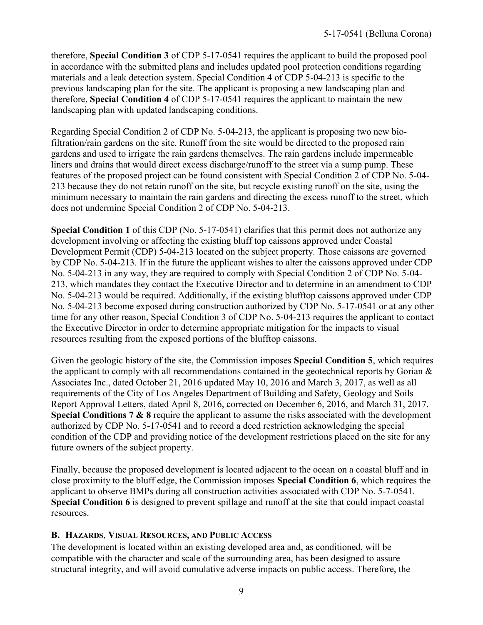therefore, **Special Condition 3** of CDP 5-17-0541 requires the applicant to build the proposed pool in accordance with the submitted plans and includes updated pool protection conditions regarding materials and a leak detection system. Special Condition 4 of CDP 5-04-213 is specific to the previous landscaping plan for the site. The applicant is proposing a new landscaping plan and therefore, **Special Condition 4** of CDP 5-17-0541 requires the applicant to maintain the new landscaping plan with updated landscaping conditions.

Regarding Special Condition 2 of CDP No. 5-04-213, the applicant is proposing two new biofiltration/rain gardens on the site. Runoff from the site would be directed to the proposed rain gardens and used to irrigate the rain gardens themselves. The rain gardens include impermeable liners and drains that would direct excess discharge/runoff to the street via a sump pump. These features of the proposed project can be found consistent with Special Condition 2 of CDP No. 5-04- 213 because they do not retain runoff on the site, but recycle existing runoff on the site, using the minimum necessary to maintain the rain gardens and directing the excess runoff to the street, which does not undermine Special Condition 2 of CDP No. 5-04-213.

**Special Condition 1** of this CDP (No. 5-17-0541) clarifies that this permit does not authorize any development involving or affecting the existing bluff top caissons approved under Coastal Development Permit (CDP) 5-04-213 located on the subject property. Those caissons are governed by CDP No. 5-04-213. If in the future the applicant wishes to alter the caissons approved under CDP No. 5-04-213 in any way, they are required to comply with Special Condition 2 of CDP No. 5-04- 213, which mandates they contact the Executive Director and to determine in an amendment to CDP No. 5-04-213 would be required. Additionally, if the existing blufftop caissons approved under CDP No. 5-04-213 become exposed during construction authorized by CDP No. 5-17-0541 or at any other time for any other reason, Special Condition 3 of CDP No. 5-04-213 requires the applicant to contact the Executive Director in order to determine appropriate mitigation for the impacts to visual resources resulting from the exposed portions of the blufftop caissons.

Given the geologic history of the site, the Commission imposes **Special Condition 5**, which requires the applicant to comply with all recommendations contained in the geotechnical reports by Gorian & Associates Inc., dated October 21, 2016 updated May 10, 2016 and March 3, 2017, as well as all requirements of the City of Los Angeles Department of Building and Safety, Geology and Soils Report Approval Letters, dated April 8, 2016, corrected on December 6, 2016, and March 31, 2017*.* **Special Conditions 7 & 8** require the applicant to assume the risks associated with the development authorized by CDP No. 5-17-0541 and to record a deed restriction acknowledging the special condition of the CDP and providing notice of the development restrictions placed on the site for any future owners of the subject property.

Finally, because the proposed development is located adjacent to the ocean on a coastal bluff and in close proximity to the bluff edge, the Commission imposes **Special Condition 6**, which requires the applicant to observe BMPs during all construction activities associated with CDP No. 5-7-0541. **Special Condition 6** is designed to prevent spillage and runoff at the site that could impact coastal resources.

#### **B. HAZARDS**, **VISUAL RESOURCES, AND PUBLIC ACCESS**

The development is located within an existing developed area and, as conditioned, will be compatible with the character and scale of the surrounding area, has been designed to assure structural integrity, and will avoid cumulative adverse impacts on public access. Therefore, the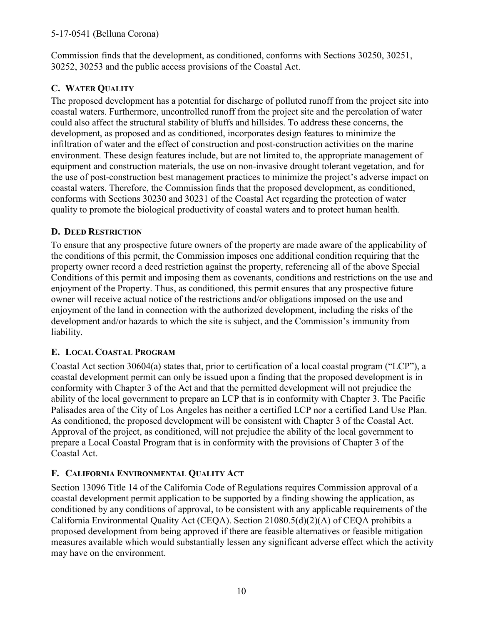### 5-17-0541 (Belluna Corona)

Commission finds that the development, as conditioned, conforms with Sections 30250, 30251, 30252, 30253 and the public access provisions of the Coastal Act.

### **C. WATER QUALITY**

The proposed development has a potential for discharge of polluted runoff from the project site into coastal waters. Furthermore, uncontrolled runoff from the project site and the percolation of water could also affect the structural stability of bluffs and hillsides. To address these concerns, the development, as proposed and as conditioned, incorporates design features to minimize the infiltration of water and the effect of construction and post-construction activities on the marine environment. These design features include, but are not limited to, the appropriate management of equipment and construction materials, the use on non-invasive drought tolerant vegetation, and for the use of post-construction best management practices to minimize the project's adverse impact on coastal waters. Therefore, the Commission finds that the proposed development, as conditioned, conforms with Sections 30230 and 30231 of the Coastal Act regarding the protection of water quality to promote the biological productivity of coastal waters and to protect human health.

### **D. DEED RESTRICTION**

To ensure that any prospective future owners of the property are made aware of the applicability of the conditions of this permit, the Commission imposes one additional condition requiring that the property owner record a deed restriction against the property, referencing all of the above Special Conditions of this permit and imposing them as covenants, conditions and restrictions on the use and enjoyment of the Property. Thus, as conditioned, this permit ensures that any prospective future owner will receive actual notice of the restrictions and/or obligations imposed on the use and enjoyment of the land in connection with the authorized development, including the risks of the development and/or hazards to which the site is subject, and the Commission's immunity from liability.

### **E. LOCAL COASTAL PROGRAM**

Coastal Act section 30604(a) states that, prior to certification of a local coastal program ("LCP"), a coastal development permit can only be issued upon a finding that the proposed development is in conformity with Chapter 3 of the Act and that the permitted development will not prejudice the ability of the local government to prepare an LCP that is in conformity with Chapter 3. The Pacific Palisades area of the City of Los Angeles has neither a certified LCP nor a certified Land Use Plan. As conditioned, the proposed development will be consistent with Chapter 3 of the Coastal Act. Approval of the project, as conditioned, will not prejudice the ability of the local government to prepare a Local Coastal Program that is in conformity with the provisions of Chapter 3 of the Coastal Act.

### **F. CALIFORNIA ENVIRONMENTAL QUALITY ACT**

Section 13096 Title 14 of the California Code of Regulations requires Commission approval of a coastal development permit application to be supported by a finding showing the application, as conditioned by any conditions of approval, to be consistent with any applicable requirements of the California Environmental Quality Act (CEQA). Section 21080.5(d)(2)(A) of CEQA prohibits a proposed development from being approved if there are feasible alternatives or feasible mitigation measures available which would substantially lessen any significant adverse effect which the activity may have on the environment.